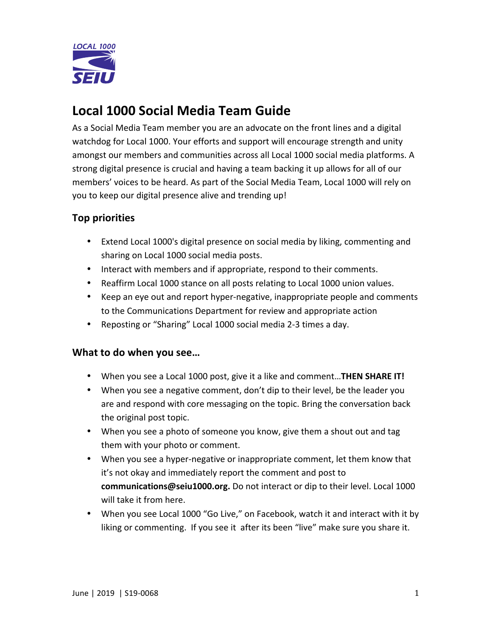

# **Local 1000 Social Media Team Guide**

As a Social Media Team member you are an advocate on the front lines and a digital watchdog for Local 1000. Your efforts and support will encourage strength and unity amongst our members and communities across all Local 1000 social media platforms. A strong digital presence is crucial and having a team backing it up allows for all of our members' voices to be heard. As part of the Social Media Team, Local 1000 will rely on you to keep our digital presence alive and trending up!

## **Top priorities**

- Extend Local 1000's digital presence on social media by liking, commenting and sharing on Local 1000 social media posts.
- Interact with members and if appropriate, respond to their comments.
- Reaffirm Local 1000 stance on all posts relating to Local 1000 union values.
- Keep an eye out and report hyper-negative, inappropriate people and comments to the Communications Department for review and appropriate action
- Reposting or "Sharing" Local 1000 social media 2-3 times a day.

#### What to do when you see...

- When you see a Local 1000 post, give it a like and comment...**THEN SHARE IT!**
- When you see a negative comment, don't dip to their level, be the leader you are and respond with core messaging on the topic. Bring the conversation back the original post topic.
- When you see a photo of someone you know, give them a shout out and tag them with your photo or comment.
- When you see a hyper-negative or inappropriate comment, let them know that it's not okay and immediately report the comment and post to communications@seiu1000.org. Do not interact or dip to their level. Local 1000 will take it from here.
- When you see Local 1000 "Go Live," on Facebook, watch it and interact with it by liking or commenting. If you see it after its been "live" make sure you share it.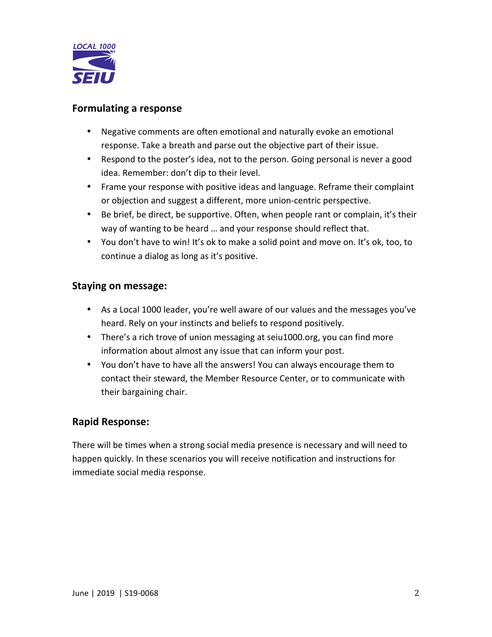

#### **Formulating a response**

- Negative comments are often emotional and naturally evoke an emotional response. Take a breath and parse out the objective part of their issue.
- Respond to the poster's idea, not to the person. Going personal is never a good idea. Remember: don't dip to their level.
- Frame your response with positive ideas and language. Reframe their complaint or objection and suggest a different, more union-centric perspective.
- Be brief, be direct, be supportive. Often, when people rant or complain, it's their way of wanting to be heard ... and your response should reflect that.
- You don't have to win! It's ok to make a solid point and move on. It's ok, too, to continue a dialog as long as it's positive.

#### **Staying on message:**

- As a Local 1000 leader, you're well aware of our values and the messages you've heard. Rely on your instincts and beliefs to respond positively.
- There's a rich trove of union messaging at seiu1000.org, you can find more information about almost any issue that can inform your post.
- You don't have to have all the answers! You can always encourage them to contact their steward, the Member Resource Center, or to communicate with their bargaining chair.

#### **Rapid Response:**

There will be times when a strong social media presence is necessary and will need to happen quickly. In these scenarios you will receive notification and instructions for immediate social media response.